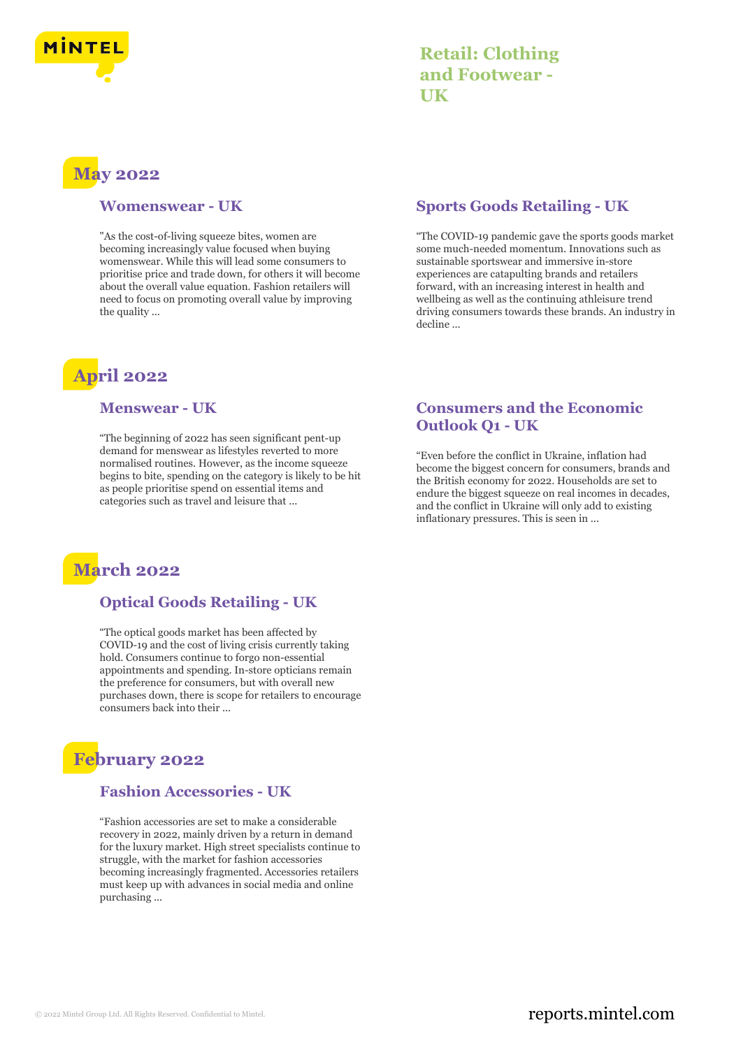

| <b>Retail: Clothing</b> |
|-------------------------|
| and Footwear -          |
| UK                      |

# **May 2022**

#### **Womenswear - UK**

"As the cost-of-living squeeze bites, women are becoming increasingly value focused when buying womenswear. While this will lead some consumers to prioritise price and trade down, for others it will become about the overall value equation. Fashion retailers will need to focus on promoting overall value by improving the quality ...

# **April 2022**

#### **Menswear - UK**

"The beginning of 2022 has seen significant pent-up demand for menswear as lifestyles reverted to more normalised routines. However, as the income squeeze begins to bite, spending on the category is likely to be hit as people prioritise spend on essential items and categories such as travel and leisure that ...



### **Optical Goods Retailing - UK**

"The optical goods market has been affected by COVID-19 and the cost of living crisis currently taking hold. Consumers continue to forgo non-essential appointments and spending. In-store opticians remain the preference for consumers, but with overall new purchases down, there is scope for retailers to encourage consumers back into their ...

## **February 2022**

### **Fashion Accessories - UK**

"Fashion accessories are set to make a considerable recovery in 2022, mainly driven by a return in demand for the luxury market. High street specialists continue to struggle, with the market for fashion accessories becoming increasingly fragmented. Accessories retailers must keep up with advances in social media and online purchasing ...

### **Sports Goods Retailing - UK**

"The COVID-19 pandemic gave the sports goods market some much-needed momentum. Innovations such as sustainable sportswear and immersive in-store experiences are catapulting brands and retailers forward, with an increasing interest in health and wellbeing as well as the continuing athleisure trend driving consumers towards these brands. An industry in decline ...

#### **Consumers and the Economic Outlook Q1 - UK**

"Even before the conflict in Ukraine, inflation had become the biggest concern for consumers, brands and the British economy for 2022. Households are set to endure the biggest squeeze on real incomes in decades, and the conflict in Ukraine will only add to existing inflationary pressures. This is seen in ...